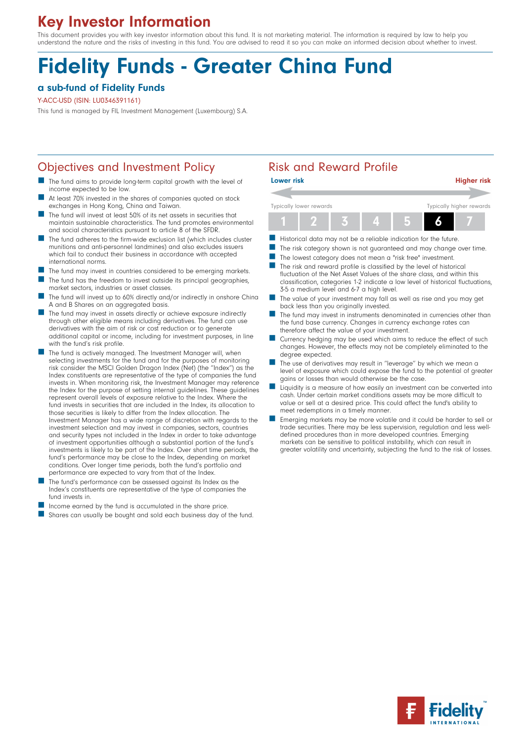# Key Investor Information

This document provides you with key investor information about this fund. It is not marketing material. The information is required by law to help you understand the nature and the risks of investing in this fund. You are advised to read it so you can make an informed decision about whether to invest.

# Fidelity Funds - Greater China Fund

#### a sub-fund of Fidelity Funds

#### Y-ACC-USD (ISIN: LU0346391161)

This fund is managed by FIL Investment Management (Luxembourg) S.A.

## Objectives and Investment Policy **Risk and Reward Profile**

- The fund aims to provide long-term capital growth with the level of income expected to be low.
- At least 70% invested in the shares of companies quoted on stock exchanges in Hong Kong, China and Taiwan.
- The fund will invest at least 50% of its net assets in securities that maintain sustainable characteristics. The fund promotes environmental and social characteristics pursuant to article 8 of the SFDR.
- The fund adheres to the firm-wide exclusion list (which includes cluster munitions and anti-personnel landmines) and also excludes issuers which fail to conduct their business in accordance with accepted international norms.
- The fund may invest in countries considered to be emerging markets.
- The fund has the freedom to invest outside its principal geographies, market sectors, industries or asset classes.
- The fund will invest up to 60% directly and/or indirectly in onshore China A and B Shares on an aggregated basis.
- The fund may invest in assets directly or achieve exposure indirectly through other eligible means including derivatives. The fund can use derivatives with the aim of risk or cost reduction or to generate additional capital or income, including for investment purposes, in line with the fund's risk profile.
- The fund is actively managed. The Investment Manager will, when selecting investments for the fund and for the purposes of monitoring risk consider the MSCI Golden Dragon Index (Net) (the ''Index'') as the Index constituents are representative of the type of companies the fund invests in. When monitoring risk, the Investment Manager may reference the Index for the purpose of setting internal guidelines. These guidelines represent overall levels of exposure relative to the Index. Where the fund invests in securities that are included in the Index, its allocation to those securities is likely to differ from the Index allocation. The Investment Manager has a wide range of discretion with regards to the investment selection and may invest in companies, sectors, countries and security types not included in the Index in order to take advantage of investment opportunities although a substantial portion of the fund's investments is likely to be part of the Index. Over short time periods, the fund's performance may be close to the Index, depending on market conditions. Over longer time periods, both the fund's portfolio and performance are expected to vary from that of the Index.
- n The fund's performance can be assessed against its Index as the Index's constituents are representative of the type of companies the fund invests in.
- Income earned by the fund is accumulated in the share price.
- Shares can usually be bought and sold each business day of the fund.



- Historical data may not be a reliable indication for the future.
- The risk category shown is not guaranteed and may change over time.
- The lowest category does not mean a "risk free" investment.
- The risk and reward profile is classified by the level of historical fluctuation of the Net Asset Values of the share class, and within this classification, categories 1-2 indicate a low level of historical fluctuations, 3-5 a medium level and 6-7 a high level.
- The value of your investment may fall as well as rise and you may get back less than you originally invested.
- The fund may invest in instruments denominated in currencies other than the fund base currency. Changes in currency exchange rates can therefore affect the value of your investment.
- Currency hedging may be used which aims to reduce the effect of such changes. However, the effects may not be completely eliminated to the degree expected.
- The use of derivatives may result in "leverage" by which we mean a level of exposure which could expose the fund to the potential of greater gains or losses than would otherwise be the case.
- Liquidity is a measure of how easily an investment can be converted into cash. Under certain market conditions assets may be more difficult to value or sell at a desired price. This could affect the fund's ability to meet redemptions in a timely manner.
- n Emerging markets may be more volatile and it could be harder to sell or trade securities. There may be less supervision, regulation and less welldefined procedures than in more developed countries. Emerging markets can be sensitive to political instability, which can result in greater volatility and uncertainty, subjecting the fund to the risk of losses.